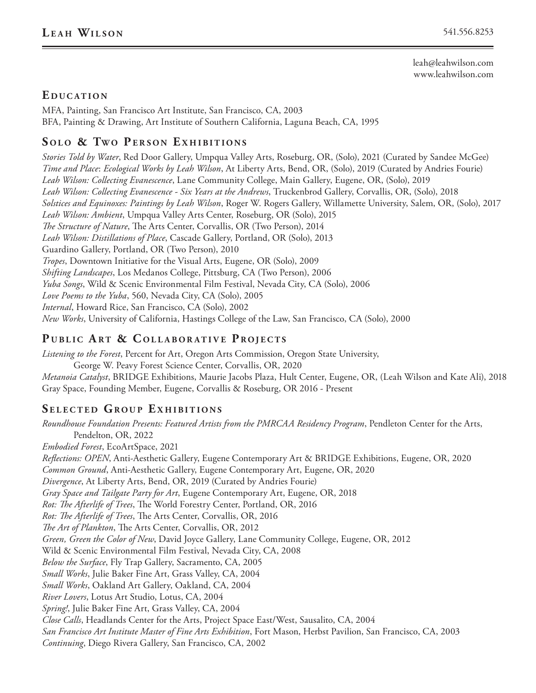leah@leahwilson.com www.leahwilson.com

## EDUCATION

MFA, Painting, San Francisco Art Institute, San Francisco, CA, 2003 BFA, Painting & Drawing, Art Institute of Southern California, Laguna Beach, CA, 1995

### **SOLO & TWO PERSON EXHIBITIONS**

*Stories Told by Water*, Red Door Gallery, Umpqua Valley Arts, Roseburg, OR, (Solo), 2021 (Curated by Sandee McGee) *Time and Place*: *Ecological Works by Leah Wilson*, At Liberty Arts, Bend, OR, (Solo), 2019 (Curated by Andries Fourie) *Leah Wilson: Collecting Evanescence*, Lane Community College, Main Gallery, Eugene, OR, (Solo), 2019 *Leah Wilson: Collecting Evanescence - Six Years at the Andrews*, Truckenbrod Gallery, Corvallis, OR, (Solo), 2018 *Solstices and Equinoxes: Paintings by Leah Wilson*, Roger W. Rogers Gallery, Willamette University, Salem, OR, (Solo), 2017 *Leah Wilson: Ambient*, Umpqua Valley Arts Center, Roseburg, OR (Solo), 2015 *The Structure of Nature*, The Arts Center, Corvallis, OR (Two Person), 2014 *Leah Wilson: Distillations of Place*, Cascade Gallery, Portland, OR (Solo), 2013 Guardino Gallery, Portland, OR (Two Person), 2010 *Tropes*, Downtown Initiative for the Visual Arts, Eugene, OR (Solo), 2009 *Shifting Landscapes*, Los Medanos College, Pittsburg, CA (Two Person), 2006 *Yuba Songs*, Wild & Scenic Environmental Film Festival, Nevada City, CA (Solo), 2006 *Love Poems to the Yuba*, 560, Nevada City, CA (Solo), 2005 *Internal*, Howard Rice, San Francisco, CA (Solo), 2002 *New Works*, University of California, Hastings College of the Law, San Francisco, CA (Solo), 2000

# PUBLIC ART & COLLABORATIVE PROJECTS

*Listening to the Forest*, Percent for Art, Oregon Arts Commission, Oregon State University,

George W. Peavy Forest Science Center, Corvallis, OR, 2020

*Metanoia Catalyst*, BRIDGE Exhibitions, Maurie Jacobs Plaza, Hult Center, Eugene, OR, (Leah Wilson and Kate Ali), 2018 Gray Space, Founding Member, Eugene, Corvallis & Roseburg, OR 2016 - Present

#### **SELECTED GROUP EXHIBITIONS**

*Roundhouse Foundation Presents: Featured Artists from the PMRCAA Residency Program*, Pendleton Center for the Arts, Pendelton, OR, 2022 *Embodied Forest*, EcoArtSpace, 2021 *Reflections: OPEN*, Anti-Aesthetic Gallery, Eugene Contemporary Art & BRIDGE Exhibitions, Eugene, OR, 2020 *Common Ground*, Anti-Aesthetic Gallery, Eugene Contemporary Art, Eugene, OR, 2020 *Divergence*, At Liberty Arts, Bend, OR, 2019 (Curated by Andries Fourie) *Gray Space and Tailgate Party for Art*, Eugene Contemporary Art, Eugene, OR, 2018 *Rot: The Afterlife of Trees*, The World Forestry Center, Portland, OR, 2016 *Rot: The Afterlife of Trees*, The Arts Center, Corvallis, OR, 2016 *The Art of Plankton*, The Arts Center, Corvallis, OR, 2012 *Green, Green the Color of New*, David Joyce Gallery, Lane Community College, Eugene, OR, 2012 Wild & Scenic Environmental Film Festival, Nevada City, CA, 2008 *Below the Surface*, Fly Trap Gallery, Sacramento, CA, 2005 *Small Works*, Julie Baker Fine Art, Grass Valley, CA, 2004 *Small Works*, Oakland Art Gallery, Oakland, CA, 2004 *River Lovers*, Lotus Art Studio, Lotus, CA, 2004 *Spring!*, Julie Baker Fine Art, Grass Valley, CA, 2004 *Close Calls*, Headlands Center for the Arts, Project Space East/West, Sausalito, CA, 2004 *San Francisco Art Institute Master of Fine Arts Exhibition*, Fort Mason, Herbst Pavilion, San Francisco, CA, 2003 *Continuing*, Diego Rivera Gallery, San Francisco, CA, 2002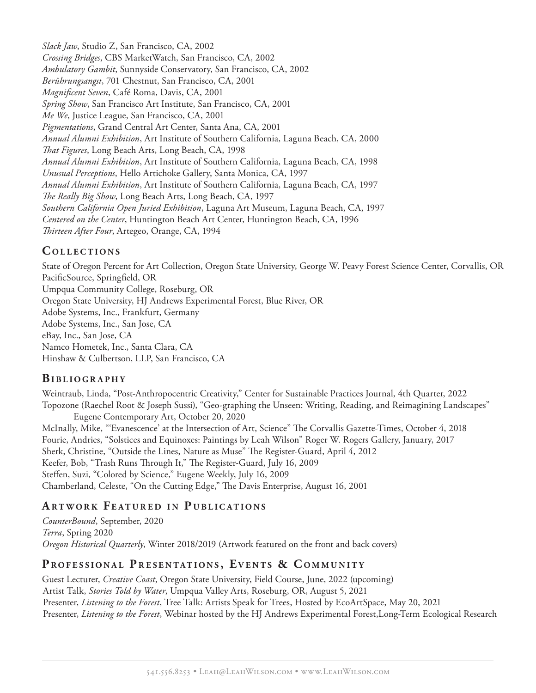*Slack Jaw*, Studio Z, San Francisco, CA, 2002 *Crossing Bridges*, CBS MarketWatch, San Francisco, CA, 2002 *Ambulatory Gambit*, Sunnyside Conservatory, San Francisco, CA, 2002 *Berührungsangst*, 701 Chestnut, San Francisco, CA, 2001 *Magnificent Seven*, Café Roma, Davis, CA, 2001 *Spring Show*, San Francisco Art Institute, San Francisco, CA, 2001 *Me We*, Justice League, San Francisco, CA, 2001 *Pigmentations*, Grand Central Art Center, Santa Ana, CA, 2001 *Annual Alumni Exhibition*, Art Institute of Southern California, Laguna Beach, CA, 2000 *That Figures*, Long Beach Arts, Long Beach, CA, 1998 *Annual Alumni Exhibition*, Art Institute of Southern California, Laguna Beach, CA, 1998 *Unusual Perceptions*, Hello Artichoke Gallery, Santa Monica, CA, 1997 *Annual Alumni Exhibition*, Art Institute of Southern California, Laguna Beach, CA, 1997 *The Really Big Show*, Long Beach Arts, Long Beach, CA, 1997 *Southern California Open Juried Exhibition*, Laguna Art Museum, Laguna Beach, CA, 1997 *Centered on the Center*, Huntington Beach Art Center, Huntington Beach, CA, 1996 *Thirteen After Four*, Artegeo, Orange, CA, 1994

## **C oll e c t i o n s**

State of Oregon Percent for Art Collection, Oregon State University, George W. Peavy Forest Science Center, Corvallis, OR PacificSource, Springfield, OR Umpqua Community College, Roseburg, OR Oregon State University, HJ Andrews Experimental Forest, Blue River, OR Adobe Systems, Inc., Frankfurt, Germany Adobe Systems, Inc., San Jose, CA eBay, Inc., San Jose, CA Namco Hometek, Inc., Santa Clara, CA Hinshaw & Culbertson, LLP, San Francisco, CA

#### **Bi b l i o g r a p h y**

Weintraub, Linda, "Post-Anthropocentric Creativity," Center for Sustainable Practices Journal, 4th Quarter, 2022 Topozone (Raechel Root & Joseph Sussi), "Geo-graphing the Unseen: Writing, Reading, and Reimagining Landscapes" Eugene Contemporary Art, October 20, 2020 McInally, Mike, "'Evanescence' at the Intersection of Art, Science" The Corvallis Gazette-Times, October 4, 2018 Fourie, Andries, "Solstices and Equinoxes: Paintings by Leah Wilson" Roger W. Rogers Gallery, January, 2017 Sherk, Christine, "Outside the Lines, Nature as Muse" The Register-Guard, April 4, 2012 Keefer, Bob, "Trash Runs Through It," The Register-Guard, July 16, 2009 Steffen, Suzi, "Colored by Science," Eugene Weekly, July 16, 2009

# Chamberland, Celeste, "On the Cutting Edge," The Davis Enterprise, August 16, 2001

### **A r t wo r k F e a t u r e d i n P u b l i c a t i o n s**

*CounterBound*, September, 2020 *Terra*, Spring 2020 *Oregon Historical Quarterly*, Winter 2018/2019 (Artwork featured on the front and back covers)

#### **PROFESSIONAL PRESENTATIONS, EVENTS & COMMUNITY**

Guest Lecturer, *Creative Coast*, Oregon State University, Field Course, June, 2022 (upcoming) Artist Talk, *Stories Told by Water*, Umpqua Valley Arts, Roseburg, OR, August 5, 2021 Presenter, *Listening to the Forest*, Tree Talk: Artists Speak for Trees, Hosted by EcoArtSpace, May 20, 2021 Presenter, *Listening to the Forest*, Webinar hosted by the HJ Andrews Experimental Forest,Long-Term Ecological Research